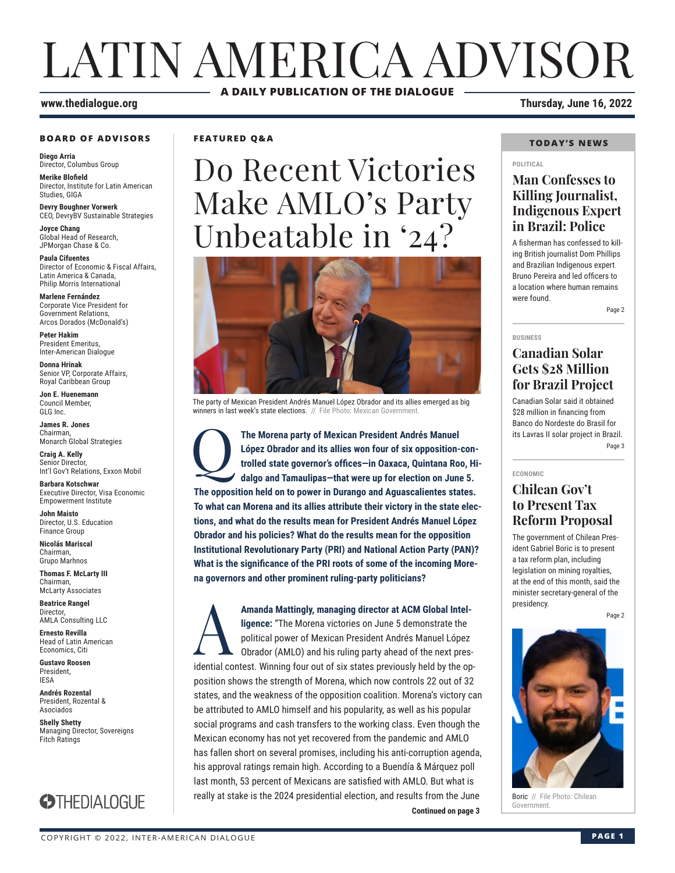# LATIN AMERICA ADVISOR **A DAILY PUBLICATION OF THE DIALOGUE**

#### **BOARD OF ADVISORS**

**Diego Arria** Director, Columbus Group

**Merike Blofield** Director, Institute for Latin American Studies, GIGA

**Devry Boughner Vorwerk** CEO, DevryBV Sustainable Strategies

**Joyce Chang** Global Head of Research, JPMorgan Chase & Co.

**Paula Cifuentes** Director of Economic & Fiscal Affairs, Latin America & Canada, Philip Morris International

**Marlene Fernández** Corporate Vice President for Government Relations, Arcos Dorados (McDonald's)

**Peter Hakim** President Emeritus, Inter-American Dialogue

**Donna Hrinak** Senior VP, Corporate Affairs, Royal Caribbean Group

**Jon E. Huenemann** Council Member, GLG Inc.

**James R. Jones** Chairman, Monarch Global Strategies

**Craig A. Kelly** Senior Director, Int'l Gov't Relations, Exxon Mobil

**Barbara Kotschwar** Executive Director, Visa Economic Empowerment Institute

**John Maisto** Director, U.S. Education Finance Group

**Nicolás Mariscal** Chairman, Grupo Marhnos

**Thomas F. McLarty III** Chairman, McLarty Associates

**Beatrice Rangel**  Director, AMLA Consulting LLC

**Ernesto Revilla**  Head of Latin American

Economics, Citi **Gustavo Roosen** President, IESA

**Andrés Rozental**  President, Rozental & Asociados

**Shelly Shetty** Managing Director, Sovereigns Fitch Ratings



**FEATURED Q&A**

# Do Recent Victories Make AMLO's Party Unbeatable in '24?



The party of Mexican President Andrés Manuel López Obrador and its allies emerged as big winners in last week's state elections. // File Photo: Mexican Government.

The Morena party of Mexican President Andrés Manuel<br>
López Obrador and its allies won four of six opposition-<br>
trolled state governor's offices-in Oaxaca, Quintana Roo<br>
dalgo and Tamaulipas-that were up for election on Jun **López Obrador and its allies won four of six opposition-controlled state governor's offices—in Oaxaca, Quintana Roo, Hidalgo and Tamaulipas—that were up for election on June 5. The opposition held on to power in Durango and Aguascalientes states. To what can Morena and its allies attribute their victory in the state elections, and what do the results mean for President Andrés Manuel López Obrador and his policies? What do the results mean for the opposition Institutional Revolutionary Party (PRI) and National Action Party (PAN)? What is the significance of the PRI roots of some of the incoming Morena governors and other prominent ruling-party politicians?**

**Continued on page 3** Amanda Mattingly, managing director at ACM Global Intel-<br>
ligence: "The Morena victories on June 5 demonstrate the<br>
political power of Mexican President Andrés Manuel López<br>
Obrador (AMLO) and his ruling party ahead of the **ligence:** "The Morena victories on June 5 demonstrate the political power of Mexican President Andrés Manuel López Obrador (AMLO) and his ruling party ahead of the next presidential contest. Winning four out of six states previously held by the opposition shows the strength of Morena, which now controls 22 out of 32 states, and the weakness of the opposition coalition. Morena's victory can be attributed to AMLO himself and his popularity, as well as his popular social programs and cash transfers to the working class. Even though the Mexican economy has not yet recovered from the pandemic and AMLO has fallen short on several promises, including his anti-corruption agenda, his approval ratings remain high. According to a Buendía & Márquez poll last month, 53 percent of Mexicans are satisfied with AMLO. But what is really at stake is the 2024 presidential election, and results from the June

**www.thedialogue.org Thursday, June 16, 2022**

#### **TODAY'S NEWS**

#### **POLITICAL**

### **Man Confesses to Killing Journalist, Indigenous Expert in Brazil: Police**

A fisherman has confessed to killing British journalist Dom Phillips and Brazilian Indigenous expert Bruno Pereira and led officers to a location where human remains were found.

Page 2

**BUSINESS**

### **Canadian Solar Gets \$28 Million for Brazil Project**

Canadian Solar said it obtained \$28 million in financing from Banco do Nordeste do Brasil for its Lavras II solar project in Brazil. Page 3

**ECONOMIC**

### **Chilean Gov't to Present Tax Reform Proposal**

The government of Chilean President Gabriel Boric is to present a tax reform plan, including legislation on mining royalties, at the end of this month, said the minister secretary-general of the presidency.

Page 2



**Boric** // File Photo: Chilean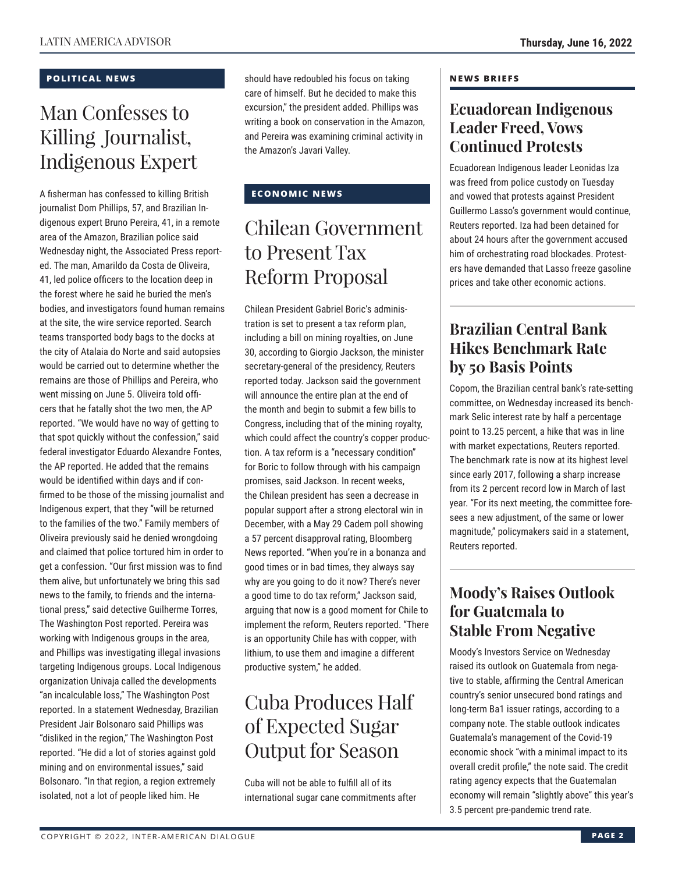### **POLITICAL NEWS**

# Man Confesses to Killing Journalist, Indigenous Expert

A fisherman has confessed to killing British journalist Dom Phillips, 57, and Brazilian Indigenous expert Bruno Pereira, 41, in a remote area of the Amazon, Brazilian police said Wednesday night, the Associated Press reported. The man, Amarildo da Costa de Oliveira, 41, led police officers to the location deep in the forest where he said he buried the men's bodies, and investigators found human remains at the site, the wire service reported. Search teams transported body bags to the docks at the city of Atalaia do Norte and said autopsies would be carried out to determine whether the remains are those of Phillips and Pereira, who went missing on June 5. Oliveira told officers that he fatally shot the two men, the AP reported. "We would have no way of getting to that spot quickly without the confession," said federal investigator Eduardo Alexandre Fontes, the AP reported. He added that the remains would be identified within days and if confirmed to be those of the missing journalist and Indigenous expert, that they "will be returned to the families of the two." Family members of Oliveira previously said he denied wrongdoing and claimed that police tortured him in order to get a confession. "Our first mission was to find them alive, but unfortunately we bring this sad news to the family, to friends and the international press," said detective Guilherme Torres, The Washington Post reported. Pereira was working with Indigenous groups in the area, and Phillips was investigating illegal invasions targeting Indigenous groups. Local Indigenous organization Univaja called the developments "an incalculable loss," The Washington Post reported. In a statement Wednesday, Brazilian President Jair Bolsonaro said Phillips was "disliked in the region," The Washington Post reported. "He did a lot of stories against gold mining and on environmental issues," said Bolsonaro. "In that region, a region extremely isolated, not a lot of people liked him. He

should have redoubled his focus on taking care of himself. But he decided to make this excursion," the president added. Phillips was writing a book on conservation in the Amazon, and Pereira was examining criminal activity in the Amazon's Javari Valley.

### **ECONOMIC NEWS**

# Chilean Government to Present Tax Reform Proposal

Chilean President Gabriel Boric's administration is set to present a tax reform plan, including a bill on mining royalties, on June 30, according to Giorgio Jackson, the minister secretary-general of the presidency, Reuters reported today. Jackson said the government will announce the entire plan at the end of the month and begin to submit a few bills to Congress, including that of the mining royalty, which could affect the country's copper production. A tax reform is a "necessary condition" for Boric to follow through with his campaign promises, said Jackson. In recent weeks, the Chilean president has seen a decrease in popular support after a strong electoral win in December, with a May 29 Cadem poll showing a 57 percent disapproval rating, Bloomberg News reported. "When you're in a bonanza and good times or in bad times, they always say why are you going to do it now? There's never a good time to do tax reform," Jackson said, arguing that now is a good moment for Chile to implement the reform, Reuters reported. "There is an opportunity Chile has with copper, with lithium, to use them and imagine a different productive system," he added.

# Cuba Produces Half of Expected Sugar Output for Season

Cuba will not be able to fulfill all of its international sugar cane commitments after

#### **NEWS BRIEFS**

### **Ecuadorean Indigenous Leader Freed, Vows Continued Protests**

Ecuadorean Indigenous leader Leonidas Iza was freed from police custody on Tuesday and vowed that protests against President Guillermo Lasso's government would continue, Reuters reported. Iza had been detained for about 24 hours after the government accused him of orchestrating road blockades. Protesters have demanded that Lasso freeze gasoline prices and take other economic actions.

### **Brazilian Central Bank Hikes Benchmark Rate by 50 Basis Points**

Copom, the Brazilian central bank's rate-setting committee, on Wednesday increased its benchmark Selic interest rate by half a percentage point to 13.25 percent, a hike that was in line with market expectations, Reuters reported. The benchmark rate is now at its highest level since early 2017, following a sharp increase from its 2 percent record low in March of last year. "For its next meeting, the committee foresees a new adjustment, of the same or lower magnitude," policymakers said in a statement, Reuters reported.

### **Moody's Raises Outlook for Guatemala to Stable From Negative**

Moody's Investors Service on Wednesday raised its outlook on Guatemala from negative to stable, affirming the Central American country's senior unsecured bond ratings and long-term Ba1 issuer ratings, according to a company note. The stable outlook indicates Guatemala's management of the Covid-19 economic shock "with a minimal impact to its overall credit profile," the note said. The credit rating agency expects that the Guatemalan economy will remain "slightly above" this year's 3.5 percent pre-pandemic trend rate.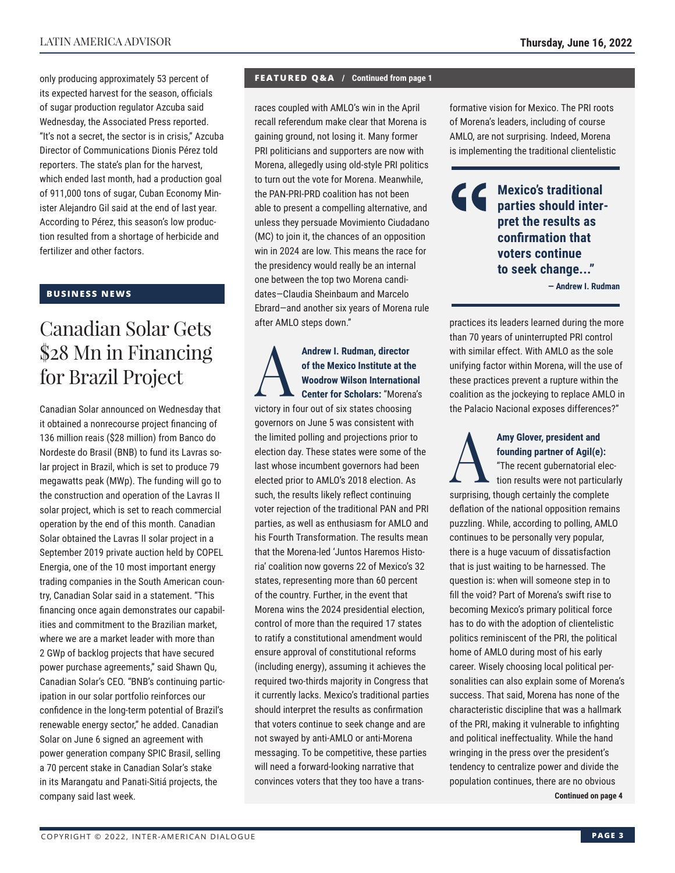only producing approximately 53 percent of its expected harvest for the season, officials of sugar production regulator Azcuba said Wednesday, the Associated Press reported. "It's not a secret, the sector is in crisis," Azcuba Director of Communications Dionis Pérez told reporters. The state's plan for the harvest, which ended last month, had a production goal of 911,000 tons of sugar, Cuban Economy Minister Alejandro Gil said at the end of last year. According to Pérez, this season's low production resulted from a shortage of herbicide and fertilizer and other factors.

#### **BUSINESS NEWS**

# Canadian Solar Gets \$28 Mn in Financing for Brazil Project

Canadian Solar announced on Wednesday that it obtained a nonrecourse project financing of 136 million reais (\$28 million) from Banco do Nordeste do Brasil (BNB) to fund its Lavras solar project in Brazil, which is set to produce 79 megawatts peak (MWp). The funding will go to the construction and operation of the Lavras II solar project, which is set to reach commercial operation by the end of this month. Canadian Solar obtained the Lavras II solar project in a September 2019 private auction held by COPEL Energia, one of the 10 most important energy trading companies in the South American country, Canadian Solar said in a statement. "This financing once again demonstrates our capabilities and commitment to the Brazilian market, where we are a market leader with more than 2 GWp of backlog projects that have secured power purchase agreements," said Shawn Qu, Canadian Solar's CEO. "BNB's continuing participation in our solar portfolio reinforces our confidence in the long-term potential of Brazil's renewable energy sector," he added. Canadian Solar on June 6 signed an agreement with power generation company SPIC Brasil, selling a 70 percent stake in Canadian Solar's stake in its Marangatu and Panati-Sitiá projects, the company said last week.

#### **FEATURED Q&A / Continued from page 1**

races coupled with AMLO's win in the April recall referendum make clear that Morena is gaining ground, not losing it. Many former PRI politicians and supporters are now with Morena, allegedly using old-style PRI politics to turn out the vote for Morena. Meanwhile, the PAN-PRI-PRD coalition has not been able to present a compelling alternative, and unless they persuade Movimiento Ciudadano (MC) to join it, the chances of an opposition win in 2024 are low. This means the race for the presidency would really be an internal one between the top two Morena candidates—Claudia Sheinbaum and Marcelo Ebrard—and another six years of Morena rule after AMLO steps down."

### Andrew I. Rudman, director<br>of the Mexico Institute at the<br>Woodrow Wilson Internation<br>Center for Scholars: "Moren **of the Mexico Institute at the Woodrow Wilson International Center for Scholars:** "Morena's victory in four out of six states choosing

governors on June 5 was consistent with the limited polling and projections prior to election day. These states were some of the last whose incumbent governors had been elected prior to AMLO's 2018 election. As such, the results likely reflect continuing voter rejection of the traditional PAN and PRI parties, as well as enthusiasm for AMLO and his Fourth Transformation. The results mean that the Morena-led 'Juntos Haremos Historia' coalition now governs 22 of Mexico's 32 states, representing more than 60 percent of the country. Further, in the event that Morena wins the 2024 presidential election, control of more than the required 17 states to ratify a constitutional amendment would ensure approval of constitutional reforms (including energy), assuming it achieves the required two-thirds majority in Congress that it currently lacks. Mexico's traditional parties should interpret the results as confirmation that voters continue to seek change and are not swayed by anti-AMLO or anti-Morena messaging. To be competitive, these parties will need a forward-looking narrative that convinces voters that they too have a transformative vision for Mexico. The PRI roots of Morena's leaders, including of course AMLO, are not surprising. Indeed, Morena is implementing the traditional clientelistic

C C **Mexico's traditional parties should interpret the results as confirmation that voters continue to seek change..."**

**— Andrew I. Rudman**

practices its leaders learned during the more than 70 years of uninterrupted PRI control with similar effect. With AMLO as the sole unifying factor within Morena, will the use of these practices prevent a rupture within the coalition as the jockeying to replace AMLO in the Palacio Nacional exposes differences?"

Amy Glover, president and<br>founding partner of Agil(e)<br>"The recent gubernatorial e<br>tion results were not partic **founding partner of Agil(e):** "The recent gubernatorial elec-

tion results were not particularly surprising, though certainly the complete deflation of the national opposition remains puzzling. While, according to polling, AMLO continues to be personally very popular, there is a huge vacuum of dissatisfaction that is just waiting to be harnessed. The question is: when will someone step in to fill the void? Part of Morena's swift rise to becoming Mexico's primary political force has to do with the adoption of clientelistic politics reminiscent of the PRI, the political home of AMLO during most of his early career. Wisely choosing local political personalities can also explain some of Morena's success. That said, Morena has none of the characteristic discipline that was a hallmark of the PRI, making it vulnerable to infighting and political ineffectuality. While the hand wringing in the press over the president's

tendency to centralize power and divide the

population continues, there are no obvious **Continued on page 4**